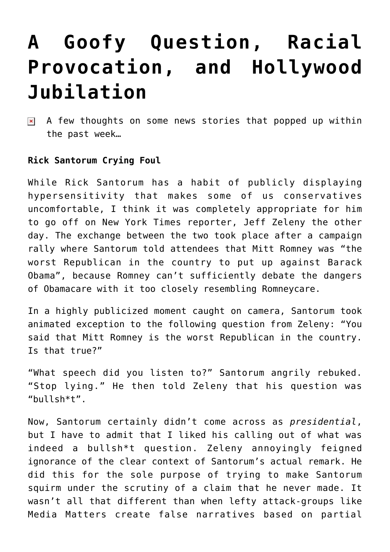# **[A Goofy Question, Racial](https://bernardgoldberg.com/a-goofy-question-racial-provocation-and-hollywood-jubilation/) [Provocation, and Hollywood](https://bernardgoldberg.com/a-goofy-question-racial-provocation-and-hollywood-jubilation/) [Jubilation](https://bernardgoldberg.com/a-goofy-question-racial-provocation-and-hollywood-jubilation/)**

A few thoughts on some news stories that popped up within  $\pmb{\times}$ the past week…

### **Rick Santorum Crying Foul**

While Rick Santorum has a habit of publicly displaying hypersensitivity that makes some of us conservatives uncomfortable, I think it was completely appropriate for him to go off on New York Times reporter, Jeff Zeleny the other day. The exchange between the two took place after a campaign rally where Santorum told attendees that Mitt Romney was "the worst Republican in the country to put up against Barack Obama", because Romney can't sufficiently debate the dangers of Obamacare with it too closely resembling Romneycare.

In a highly publicized moment caught on camera, Santorum took animated exception to the following question from Zeleny: "You said that Mitt Romney is the worst Republican in the country. Is that true?"

"What speech did you listen to?" Santorum angrily rebuked. "Stop lying." He then told Zeleny that his question was "bullsh\*t".

Now, Santorum certainly didn't come across as *presidential*, but I have to admit that I liked his calling out of what was indeed a bullsh\*t question. Zeleny annoyingly feigned ignorance of the clear context of Santorum's actual remark. He did this for the sole purpose of trying to make Santorum squirm under the scrutiny of a claim that he never made. It wasn't all that different than when lefty attack-groups like Media Matters create false narratives based on partial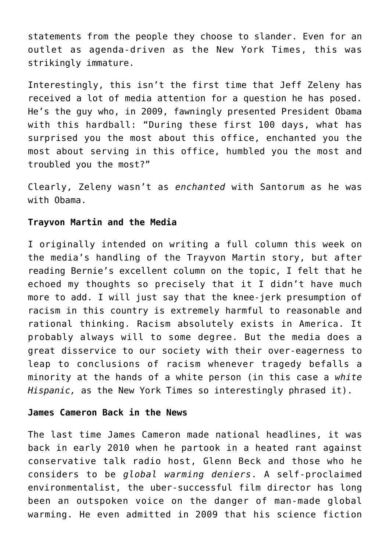statements from the people they choose to slander. Even for an outlet as agenda-driven as the New York Times, this was strikingly immature.

Interestingly, this isn't the first time that Jeff Zeleny has received a lot of media attention for a question he has posed. He's the guy who, in 2009, fawningly presented President Obama with this hardball: "During these first 100 days, what has surprised you the most about this office, enchanted you the most about serving in this office, humbled you the most and troubled you the most?"

Clearly, Zeleny wasn't as *enchanted* with Santorum as he was with Obama.

#### **Trayvon Martin and the Media**

I originally intended on writing a full column this week on the media's handling of the Trayvon Martin story, but after reading [Bernie's excellent column on the topic,](http://www.hdi3.wpengine.com/trayvon-martin-and-media-hypocrisy/) I felt that he echoed my thoughts so precisely that it I didn't have much more to add. I will just say that the knee-jerk presumption of racism in this country is extremely harmful to reasonable and rational thinking. Racism absolutely exists in America. It probably always will to some degree. But the media does a great disservice to our society with their over-eagerness to leap to conclusions of racism whenever tragedy befalls a minority at the hands of a white person (in this case a *white Hispanic,* as the New York Times so interestingly phrased it).

#### **James Cameron Back in the News**

The last time James Cameron made national headlines, it was back in early 2010 when he partook in a heated rant against conservative talk radio host, Glenn Beck and those who he considers to be *global warming deniers*. A self-proclaimed environmentalist, the uber-successful film director has long been an outspoken voice on the danger of man-made global warming. He even admitted in 2009 that his science fiction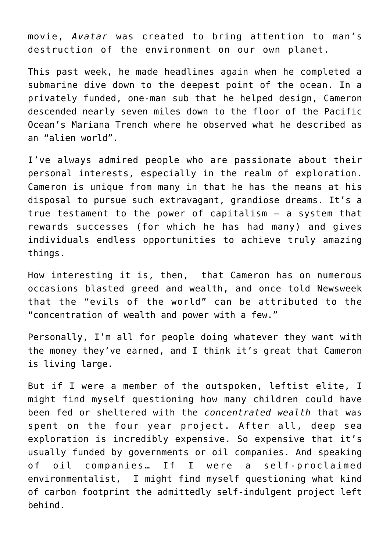movie, *Avatar* was created to bring attention to man's destruction of the environment on our own planet.

This past week, he made headlines again when he completed a submarine dive down to the deepest point of the ocean. In a privately funded, one-man sub that he helped design, Cameron descended nearly seven miles down to the floor of the Pacific Ocean's Mariana Trench where he observed what he described as an "alien world".

I've always admired people who are passionate about their personal interests, especially in the realm of exploration. Cameron is unique from many in that he has the means at his disposal to pursue such extravagant, grandiose dreams. It's a true testament to the power of capitalism – a system that rewards successes (for which he has had many) and gives individuals endless opportunities to achieve truly amazing things.

How interesting it is, then, that Cameron has on numerous occasions blasted greed and wealth, and once told Newsweek that the "evils of the world" can be attributed to the "concentration of wealth and power with a few."

Personally, I'm all for people doing whatever they want with the money they've earned, and I think it's great that Cameron is living large.

But if I were a member of the outspoken, leftist elite, I might find myself questioning how many children could have been fed or sheltered with the *concentrated wealth* that was spent on the four year project. After all, deep sea exploration is incredibly expensive. So expensive that it's usually funded by governments or oil companies. And speaking of oil companies… If I were a self-proclaimed environmentalist, I might find myself questioning what kind of carbon footprint the admittedly self-indulgent project left behind.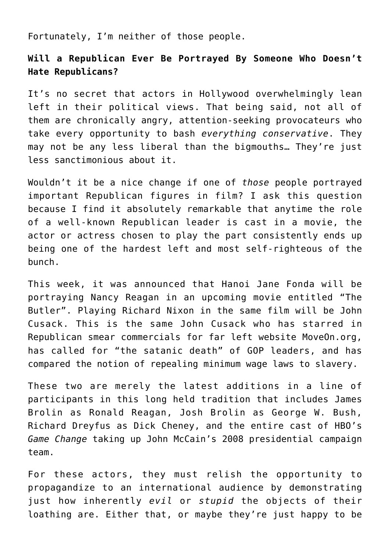Fortunately, I'm neither of those people.

## **Will a Republican Ever Be Portrayed By Someone Who Doesn't Hate Republicans?**

It's no secret that actors in Hollywood overwhelmingly lean left in their political views. That being said, not all of them are chronically angry, attention-seeking provocateurs who take every opportunity to bash *everything conservative*. They may not be any less liberal than the bigmouths… They're just less sanctimonious about it.

Wouldn't it be a nice change if one of *those* people portrayed important Republican figures in film? I ask this question because I find it absolutely remarkable that anytime the role of a well-known Republican leader is cast in a movie, the actor or actress chosen to play the part consistently ends up being one of the hardest left and most self-righteous of the bunch.

This week, it was announced that Hanoi Jane Fonda will be portraying Nancy Reagan in an upcoming movie entitled "The Butler". Playing Richard Nixon in the same film will be John Cusack. This is the same John Cusack who has starred in Republican smear commercials for far left website MoveOn.org, has called for "the satanic death" of GOP leaders, and has compared the notion of repealing minimum wage laws to slavery.

These two are merely the latest additions in a line of participants in this long held tradition that includes James Brolin as Ronald Reagan, Josh Brolin as George W. Bush, Richard Dreyfus as Dick Cheney, and the entire cast of HBO's *Game Change* taking up John McCain's 2008 presidential campaign team.

For these actors, they must relish the opportunity to propagandize to an international audience by demonstrating just how inherently *evil* or *stupid* the objects of their loathing are. Either that, or maybe they're just happy to be